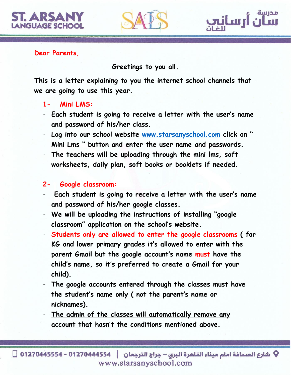



**Greetings to you all.**

مدرسة

nilw II.

**This is a letter explaining to you the internet school channels that we are going to use this year.**

- **1- Mini LMS:**
- **Each student is going to receive a letter with the user's name and password of his/her class.**
- **Log into our school website [www.starsanyschool.com](http://www.starsanyschool.com/) click on " Mini Lms " button and enter the user name and passwords.**
- **The teachers will be uploading through the mini lms, soft worksheets, daily plan, soft books or booklets if needed.**

## **2- Google classroom:**

- **Each student is going to receive a letter with the user's name and password of his/her google classes.**
- **We will be uploading the instructions of installing "google classroom" application on the school's website.**
- **Students only are allowed to enter the google classrooms ( for KG and lower primary grades it's allowed to enter with the parent Gmail but the google account's name must have the child's name, so it's preferred to create a Gmail for your child).**
- **The google accounts entered through the classes must have the student's name only ( not the parent's name or nicknames).**
- **The admin of the classes will automatically remove any account that hasn't the conditions mentioned above.**